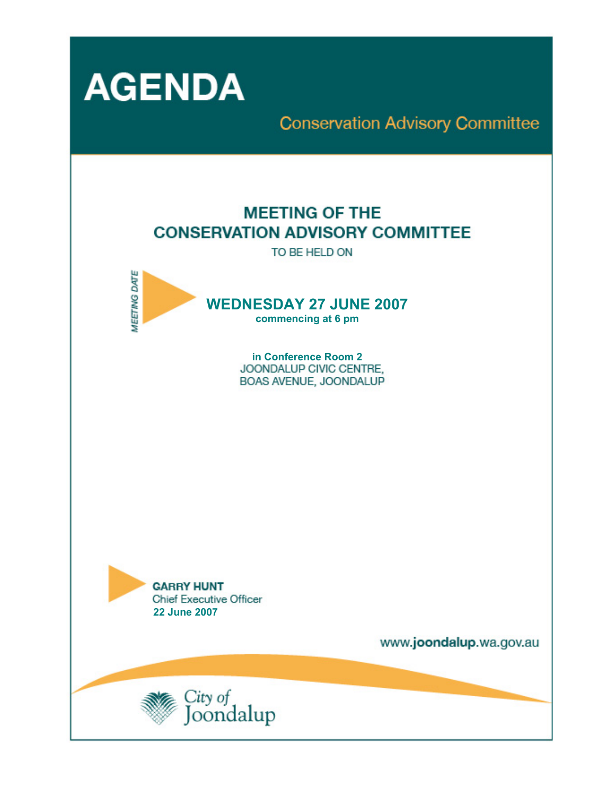

## **Conservation Advisory Committee**

## **MEETING OF THE CONSERVATION ADVISORY COMMITTEE**

TO BE HELD ON



**in Conference Room 2**  BOAS AVENUE, JOONDALUP



www.joondalup.wa.gov.au

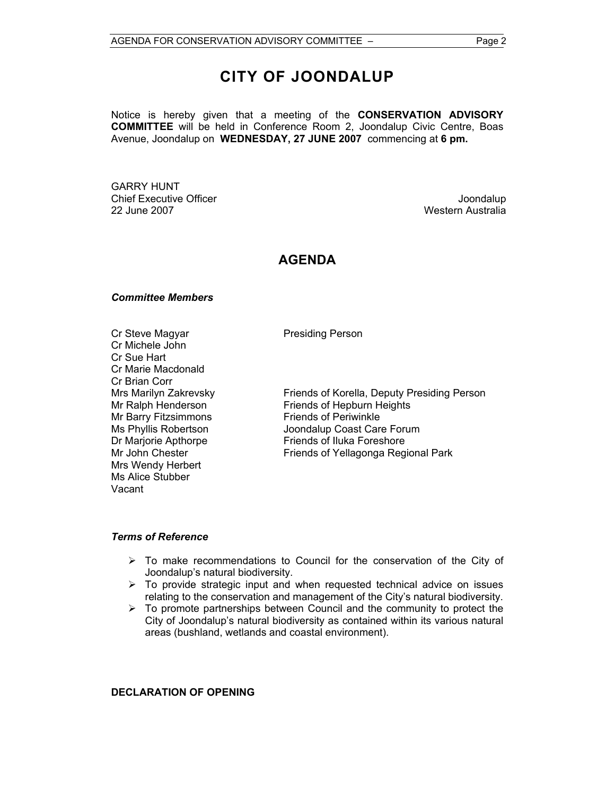## **CITY OF JOONDALUP**

Notice is hereby given that a meeting of the **CONSERVATION ADVISORY COMMITTEE** will be held in Conference Room 2, Joondalup Civic Centre, Boas Avenue, Joondalup on **WEDNESDAY, 27 JUNE 2007** commencing at **6 pm.** 

GARRY HUNT Chief Executive Officer **Chief Executive Officer** Joondalup 22 June 2007 Western Australia

#### **AGENDA**

#### *Committee Members*

Cr Steve Magyar **Presiding Person** Cr Michele John Cr Sue Hart Cr Marie Macdonald Cr Brian Corr<br>Mrs Marilyn Zakrevsky Mr Barry Fitzsimmons Friends of Periwinkle Mrs Wendy Herbert Ms Alice Stubber Vacant

Mrs Marilyn Zakrevsky<br>Mr Ralph Henderson Friends of Hepburn Heights Friends of Hepburn Heights Ms Phyllis Robertson Joondalup Coast Care Forum Dr Marjorie Apthorpe Friends of Iluka Foreshore Mr John Chester **Friends of Yellagonga Regional Park** 

#### *Terms of Reference*

- $\triangleright$  To make recommendations to Council for the conservation of the City of Joondalup's natural biodiversity.
- $\triangleright$  To provide strategic input and when requested technical advice on issues relating to the conservation and management of the City's natural biodiversity.
- $\triangleright$  To promote partnerships between Council and the community to protect the City of Joondalup's natural biodiversity as contained within its various natural areas (bushland, wetlands and coastal environment).

#### **DECLARATION OF OPENING**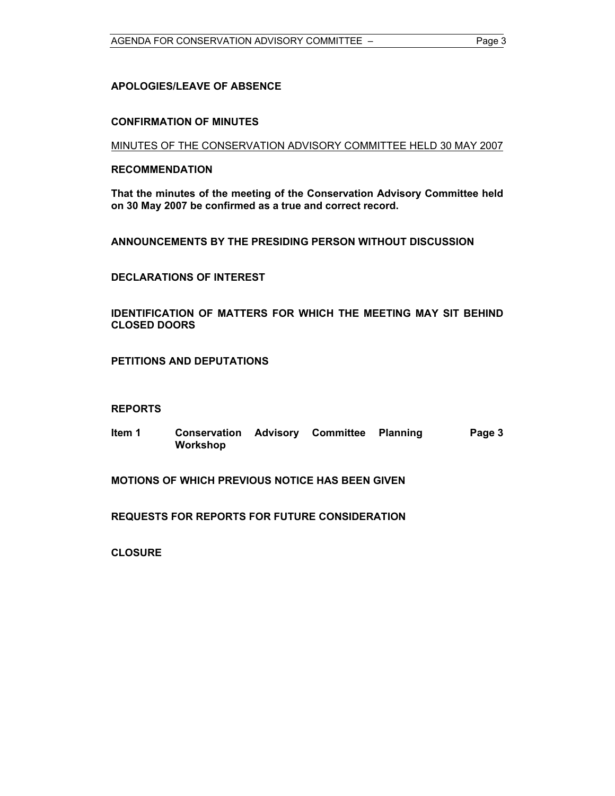#### **APOLOGIES/LEAVE OF ABSENCE**

#### **CONFIRMATION OF MINUTES**

MINUTES OF THE CONSERVATION ADVISORY COMMITTEE HELD 30 MAY 2007

#### **RECOMMENDATION**

**That the minutes of the meeting of the Conservation Advisory Committee held on 30 May 2007 be confirmed as a true and correct record.** 

**ANNOUNCEMENTS BY THE PRESIDING PERSON WITHOUT DISCUSSION** 

**DECLARATIONS OF INTEREST** 

**IDENTIFICATION OF MATTERS FOR WHICH THE MEETING MAY SIT BEHIND CLOSED DOORS** 

**PETITIONS AND DEPUTATIONS** 

#### **REPORTS**

**Item 1 Conservation Advisory Committee Planning Workshop Page 3** 

**MOTIONS OF WHICH PREVIOUS NOTICE HAS BEEN GIVEN** 

**REQUESTS FOR REPORTS FOR FUTURE CONSIDERATION** 

**CLOSURE**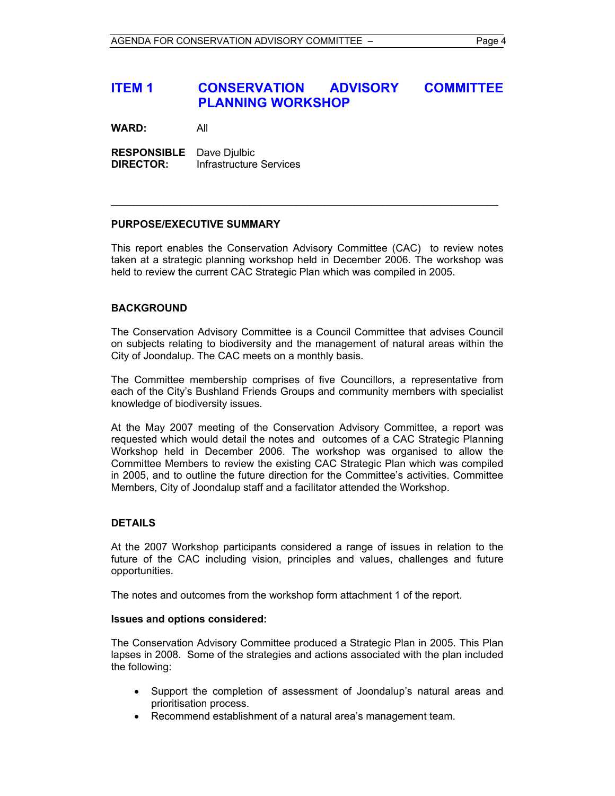#### **ITEM 1 CONSERVATION ADVISORY COMMITTEE PLANNING WORKSHOP**

**WARD:** All

**RESPONSIBLE** Dave Djulbic **DIRECTOR:** Infrastructure Services

#### **PURPOSE/EXECUTIVE SUMMARY**

This report enables the Conservation Advisory Committee (CAC) to review notes taken at a strategic planning workshop held in December 2006. The workshop was held to review the current CAC Strategic Plan which was compiled in 2005.

 $\mathcal{L}_\text{G} = \{ \mathcal{L}_\text{G} \mid \mathcal{L}_\text{G} \mid \mathcal{L}_\text{G} \mid \mathcal{L}_\text{G} \mid \mathcal{L}_\text{G} \mid \mathcal{L}_\text{G} \mid \mathcal{L}_\text{G} \mid \mathcal{L}_\text{G} \mid \mathcal{L}_\text{G} \mid \mathcal{L}_\text{G} \mid \mathcal{L}_\text{G} \mid \mathcal{L}_\text{G} \mid \mathcal{L}_\text{G} \mid \mathcal{L}_\text{G} \mid \mathcal{L}_\text{G} \mid \mathcal{L}_\text{G}$ 

#### **BACKGROUND**

The Conservation Advisory Committee is a Council Committee that advises Council on subjects relating to biodiversity and the management of natural areas within the City of Joondalup. The CAC meets on a monthly basis.

The Committee membership comprises of five Councillors, a representative from each of the City's Bushland Friends Groups and community members with specialist knowledge of biodiversity issues.

At the May 2007 meeting of the Conservation Advisory Committee, a report was requested which would detail the notes and outcomes of a CAC Strategic Planning Workshop held in December 2006. The workshop was organised to allow the Committee Members to review the existing CAC Strategic Plan which was compiled in 2005, and to outline the future direction for the Committee's activities. Committee Members, City of Joondalup staff and a facilitator attended the Workshop.

#### **DETAILS**

At the 2007 Workshop participants considered a range of issues in relation to the future of the CAC including vision, principles and values, challenges and future opportunities.

The notes and outcomes from the workshop form attachment 1 of the report.

#### **Issues and options considered:**

The Conservation Advisory Committee produced a Strategic Plan in 2005. This Plan lapses in 2008. Some of the strategies and actions associated with the plan included the following:

- Support the completion of assessment of Joondalup's natural areas and prioritisation process.
- Recommend establishment of a natural area's management team.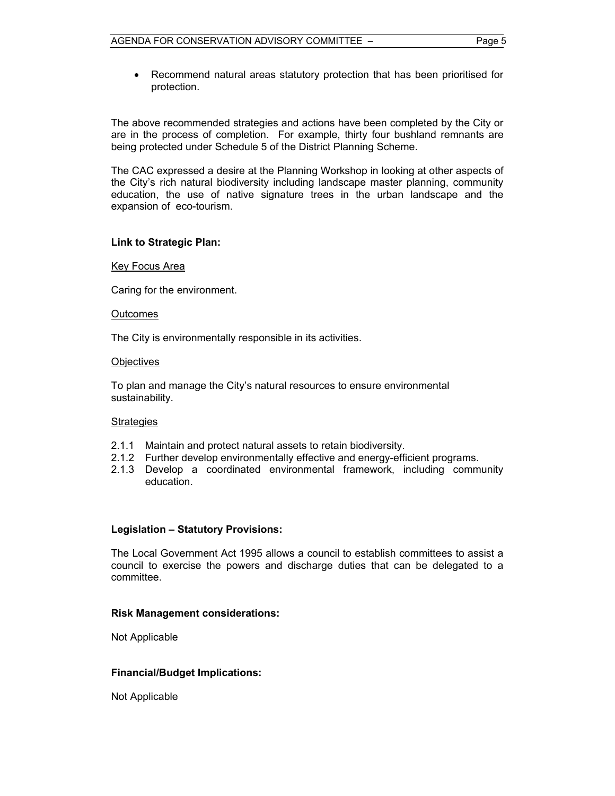• Recommend natural areas statutory protection that has been prioritised for protection.

The above recommended strategies and actions have been completed by the City or are in the process of completion. For example, thirty four bushland remnants are being protected under Schedule 5 of the District Planning Scheme.

The CAC expressed a desire at the Planning Workshop in looking at other aspects of the City's rich natural biodiversity including landscape master planning, community education, the use of native signature trees in the urban landscape and the expansion of eco-tourism.

#### **Link to Strategic Plan:**

#### Key Focus Area

Caring for the environment.

#### **Outcomes**

The City is environmentally responsible in its activities.

#### **Objectives**

To plan and manage the City's natural resources to ensure environmental sustainability.

#### **Strategies**

- 2.1.1 Maintain and protect natural assets to retain biodiversity.
- 2.1.2 Further develop environmentally effective and energy-efficient programs.
- 2.1.3 Develop a coordinated environmental framework, including community education.

#### **Legislation – Statutory Provisions:**

The Local Government Act 1995 allows a council to establish committees to assist a council to exercise the powers and discharge duties that can be delegated to a committee.

#### **Risk Management considerations:**

Not Applicable

#### **Financial/Budget Implications:**

Not Applicable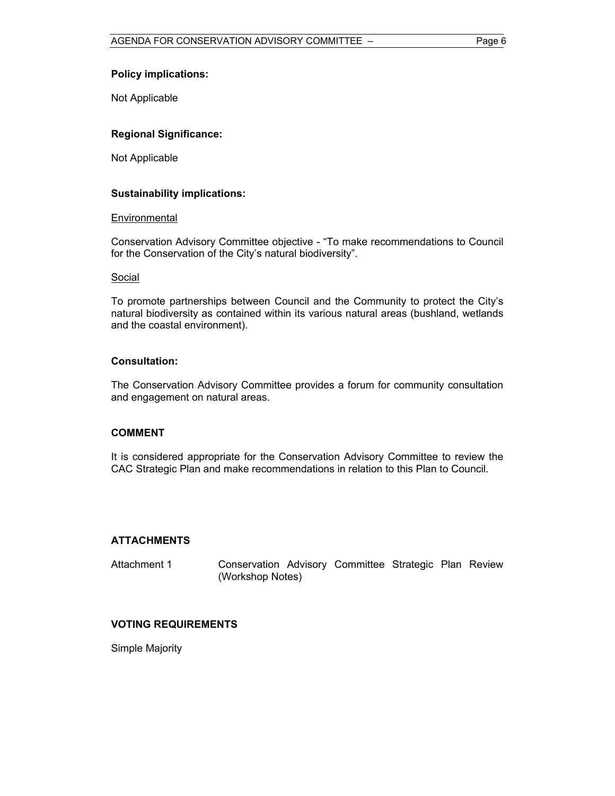#### **Policy implications:**

Not Applicable

#### **Regional Significance:**

Not Applicable

#### **Sustainability implications:**

#### **Environmental**

Conservation Advisory Committee objective - "To make recommendations to Council for the Conservation of the City's natural biodiversity".

#### Social

To promote partnerships between Council and the Community to protect the City's natural biodiversity as contained within its various natural areas (bushland, wetlands and the coastal environment).

#### **Consultation:**

The Conservation Advisory Committee provides a forum for community consultation and engagement on natural areas.

#### **COMMENT**

It is considered appropriate for the Conservation Advisory Committee to review the CAC Strategic Plan and make recommendations in relation to this Plan to Council.

#### **ATTACHMENTS**

Attachment 1 Conservation Advisory Committee Strategic Plan Review (Workshop Notes)

#### **VOTING REQUIREMENTS**

Simple Majority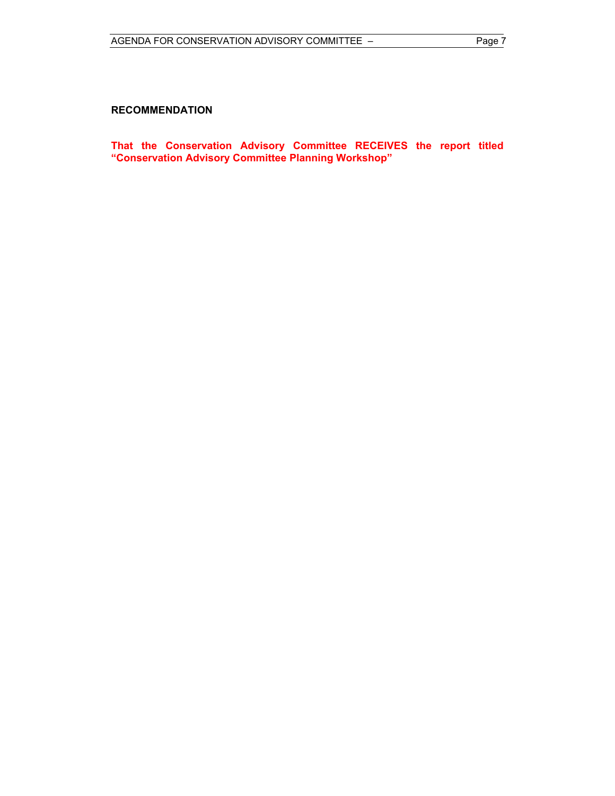#### **RECOMMENDATION**

**That the Conservation Advisory Committee RECEIVES the report titled "Conservation Advisory Committee Planning Workshop"**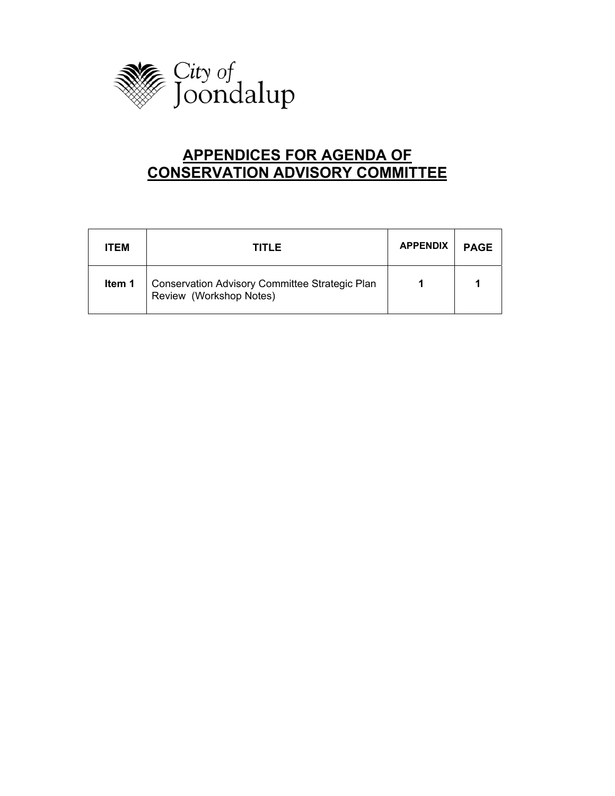

## **APPENDICES FOR AGENDA OF CONSERVATION ADVISORY COMMITTEE**

| <b>ITEM</b> | <b>TITLE</b>                                                              | <b>APPENDIX</b> | <b>PAGE</b> |
|-------------|---------------------------------------------------------------------------|-----------------|-------------|
| Item 1      | Conservation Advisory Committee Strategic Plan<br>Review (Workshop Notes) |                 |             |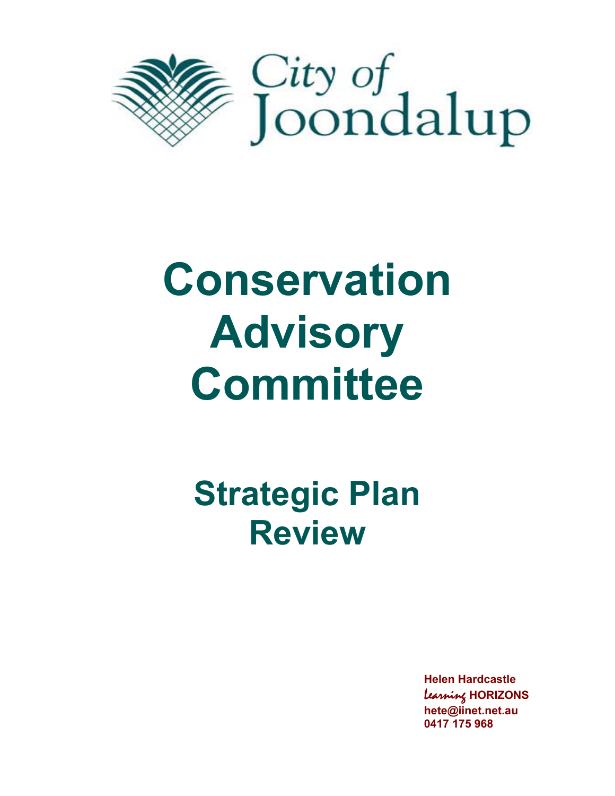

# **Conservation Advisory Committee**

## **Strategic Plan Review**

**Helen Hardcastle**  Learning **HORIZONS hete@iinet.net.au 0417 175 968**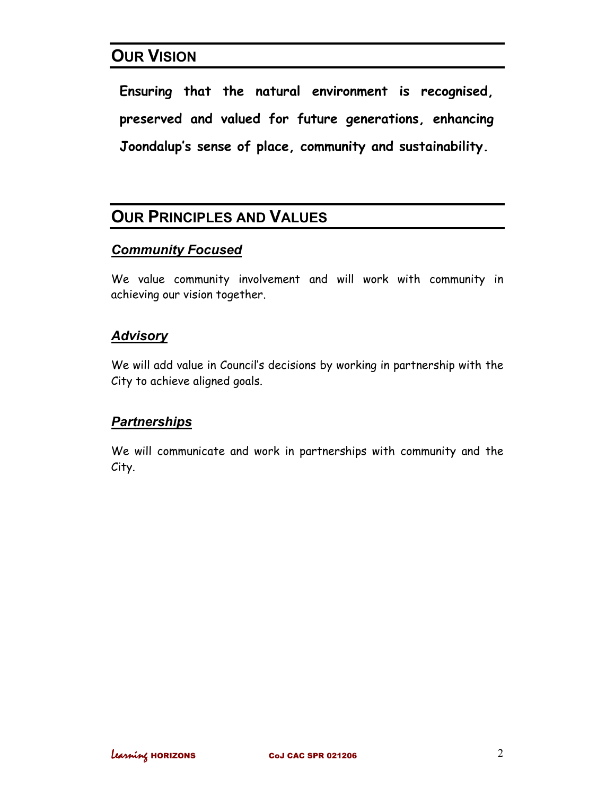## **OUR VISION**

**Ensuring that the natural environment is recognised, preserved and valued for future generations, enhancing Joondalup's sense of place, community and sustainability.** 

## **OUR PRINCIPLES AND VALUES**

#### *Community Focused*

We value community involvement and will work with community in achieving our vision together.

#### *Advisory*

We will add value in Council's decisions by working in partnership with the City to achieve aligned goals.

#### *Partnerships*

We will communicate and work in partnerships with community and the City.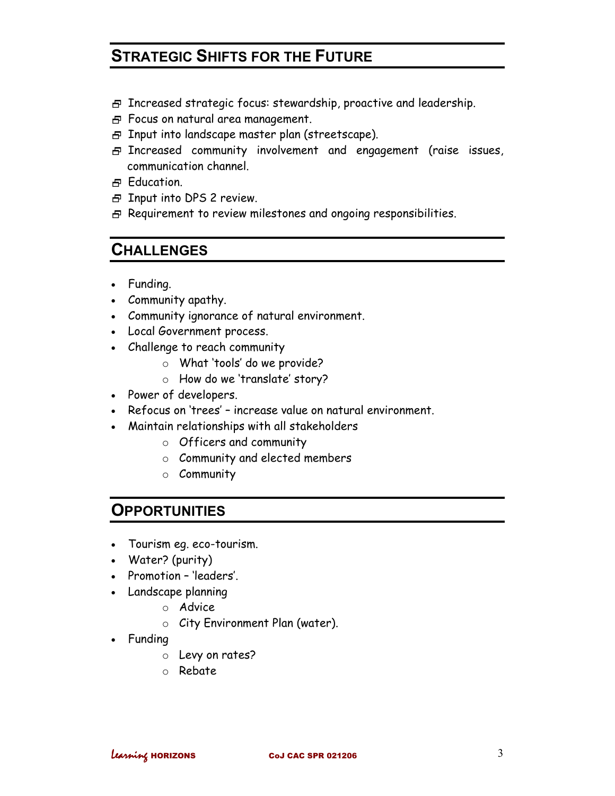## **STRATEGIC SHIFTS FOR THE FUTURE**

- $\overline{B}$  Increased strategic focus: stewardship, proactive and leadership.
- Focus on natural area management.
- $\overline{\Theta}$  Input into landscape master plan (streetscape).
- Increased community involvement and engagement (raise issues, communication channel.
- H<sub>E</sub> Education.
- 日 Input into DPS 2 review.
- $\overline{B}$  Requirement to review milestones and ongoing responsibilities.

## **CHALLENGES**

- Funding.
- Community apathy.
- Community ignorance of natural environment.
- Local Government process.
- Challenge to reach community
	- o What 'tools' do we provide?
	- o How do we 'translate' story?
- Power of developers.
- Refocus on 'trees' increase value on natural environment.
- Maintain relationships with all stakeholders
	- o Officers and community
	- o Community and elected members
	- o Community

## **OPPORTUNITIES**

- Tourism eg. eco-tourism.
- Water? (purity)
- Promotion 'leaders'.
- Landscape planning
	- o Advice
	- o City Environment Plan (water).
- Funding
	- o Levy on rates?
	- o Rebate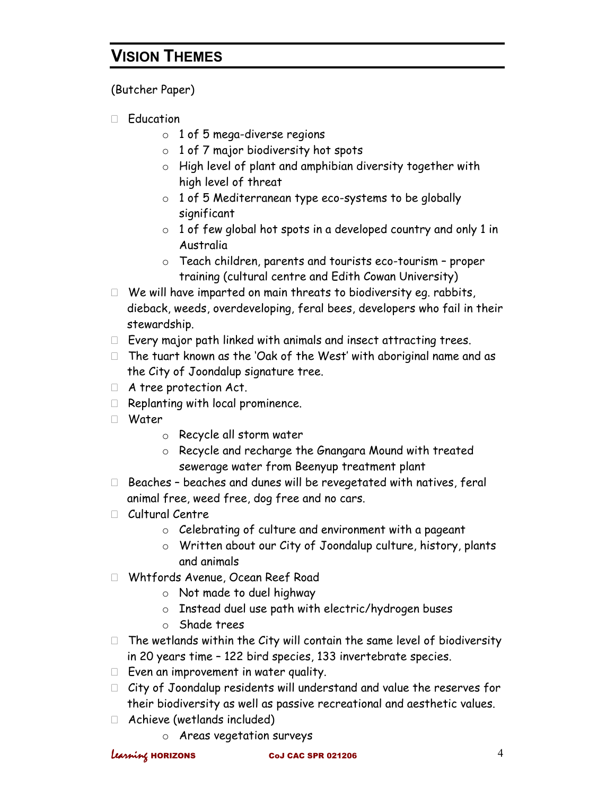## **VISION THEMES**

(Butcher Paper)

- Education
	- $\circ$  1 of 5 mega-diverse regions
	- o 1 of 7 major biodiversity hot spots
	- o High level of plant and amphibian diversity together with high level of threat
	- $\circ$  1 of 5 Mediterranean type eco-systems to be globally significant
	- $\circ$  1 of few global hot spots in a developed country and only 1 in Australia
	- o Teach children, parents and tourists eco-tourism proper training (cultural centre and Edith Cowan University)
- $\Box$  We will have imparted on main threats to biodiversity eq. rabbits, dieback, weeds, overdeveloping, feral bees, developers who fail in their stewardship.
- $\Box$  Every major path linked with animals and insect attracting trees.
- $\Box$  The tuart known as the 'Oak of the West' with aboriginal name and as the City of Joondalup signature tree.
- A tree protection Act.
- $\Box$  Replanting with local prominence.
- Water
	- o Recycle all storm water
	- o Recycle and recharge the Gnangara Mound with treated sewerage water from Beenyup treatment plant
- $\Box$  Beaches beaches and dunes will be revegetated with natives, feral animal free, weed free, dog free and no cars.
- Cultural Centre
	- o Celebrating of culture and environment with a pageant
	- o Written about our City of Joondalup culture, history, plants and animals
- Whtfords Avenue, Ocean Reef Road
	- o Not made to duel highway
	- o Instead duel use path with electric/hydrogen buses
	- o Shade trees
- $\Box$  The wetlands within the City will contain the same level of biodiversity in 20 years time – 122 bird species, 133 invertebrate species.
- $\Box$  Even an improvement in water quality.
- $\Box$  City of Joondalup residents will understand and value the reserves for their biodiversity as well as passive recreational and aesthetic values.
- Achieve (wetlands included)
	- o Areas vegetation surveys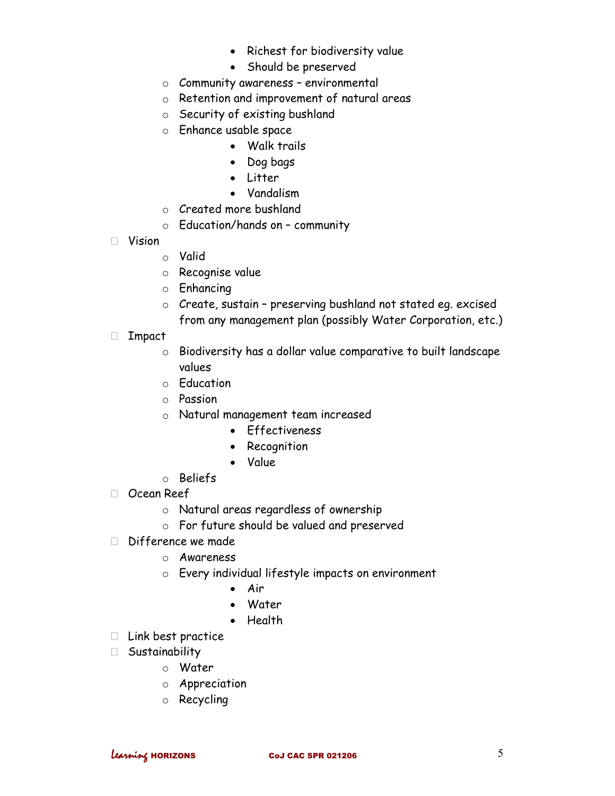- Richest for biodiversity value
- Should be preserved
- o Community awareness environmental
- o Retention and improvement of natural areas
- o Security of existing bushland
- o Enhance usable space
	- Walk trails
	- Dog bags
	- Litter
	- Vandalism
- o Created more bushland
- $\circ$  Education/hands on community
- Vision
	- o Valid
	- o Recognise value
	- o Enhancing
	- o Create, sustain preserving bushland not stated eg. excised from any management plan (possibly Water Corporation, etc.)
- Impact
	- o Biodiversity has a dollar value comparative to built landscape values
	- o Education
	- o Passion
	- o Natural management team increased
		- Effectiveness
		- Recognition
		- Value
	- o Beliefs
- Ocean Reef
	- o Natural areas regardless of ownership
	- o For future should be valued and preserved
- $\Box$  Difference we made
	- o Awareness
	- o Every individual lifestyle impacts on environment
		- Air
		- Water
		- Health
- $\Box$  Link best practice
- Sustainability
	- o Water
	- o Appreciation
	- o Recycling